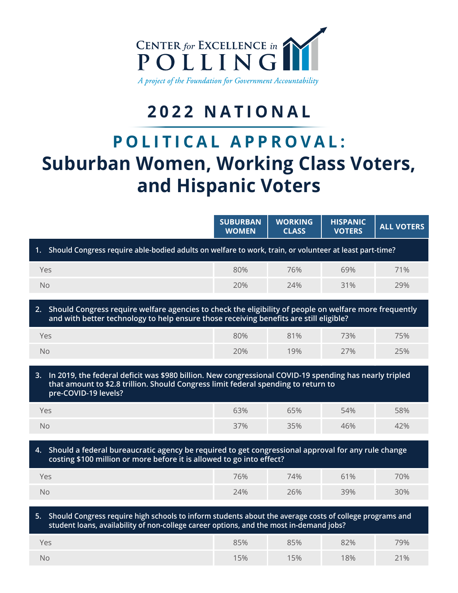

## **2022 NATIONAL**

# **POLITICAL APPROVAL: Suburban Women, Working Class Voters, and Hispanic Voters**

|                                                                                                                                                                                                                            | <b>SUBURBAN</b><br><b>WOMEN</b> | <b>WORKING</b><br><b>CLASS</b> | <b>HISPANIC</b><br><b>VOTERS</b> | <b>ALL VOTERS</b> |  |  |  |  |  |
|----------------------------------------------------------------------------------------------------------------------------------------------------------------------------------------------------------------------------|---------------------------------|--------------------------------|----------------------------------|-------------------|--|--|--|--|--|
| Should Congress require able-bodied adults on welfare to work, train, or volunteer at least part-time?<br>1.                                                                                                               |                                 |                                |                                  |                   |  |  |  |  |  |
| Yes                                                                                                                                                                                                                        | 80%                             | 76%                            | 69%                              | 71%               |  |  |  |  |  |
| <b>No</b>                                                                                                                                                                                                                  | 20%                             | 74%                            | 31%                              | 29%               |  |  |  |  |  |
| 2. Should Congress require welfare agencies to check the eligibility of people on welfare more frequently<br>and with better technology to help ensure those receiving benefits are still eligible?                        |                                 |                                |                                  |                   |  |  |  |  |  |
| Yes                                                                                                                                                                                                                        | 80%                             | 81%                            | 73%                              | 75%               |  |  |  |  |  |
| <b>No</b>                                                                                                                                                                                                                  | 20%                             | 19%                            | 27%                              | 25%               |  |  |  |  |  |
| In 2019, the federal deficit was \$980 billion. New congressional COVID-19 spending has nearly tripled<br>3.<br>that amount to \$2.8 trillion. Should Congress limit federal spending to return to<br>pre-COVID-19 levels? |                                 |                                |                                  |                   |  |  |  |  |  |
| Yes                                                                                                                                                                                                                        | 63%                             | 65%                            | 54%                              | 58%               |  |  |  |  |  |
| <b>No</b>                                                                                                                                                                                                                  | 37%                             | 35%                            | 46%                              | 42%               |  |  |  |  |  |
| 4. Should a federal bureaucratic agency be required to get congressional approval for any rule change<br>costing \$100 million or more before it is allowed to go into effect?                                             |                                 |                                |                                  |                   |  |  |  |  |  |
| Yes                                                                                                                                                                                                                        | 76%                             | 74%                            | 61%                              | 70%               |  |  |  |  |  |
| <b>No</b>                                                                                                                                                                                                                  | 24%                             | 26%                            | 39%                              | 30%               |  |  |  |  |  |
| 5. Should Congress require high schools to inform students about the average costs of college programs and<br>student loans, availability of non-college career options, and the most in-demand jobs?                      |                                 |                                |                                  |                   |  |  |  |  |  |
| Yes                                                                                                                                                                                                                        | 85%                             | 85%                            | 82%                              | 79%               |  |  |  |  |  |
| <b>No</b>                                                                                                                                                                                                                  | 15%                             | 15%                            | 18%                              | 21%               |  |  |  |  |  |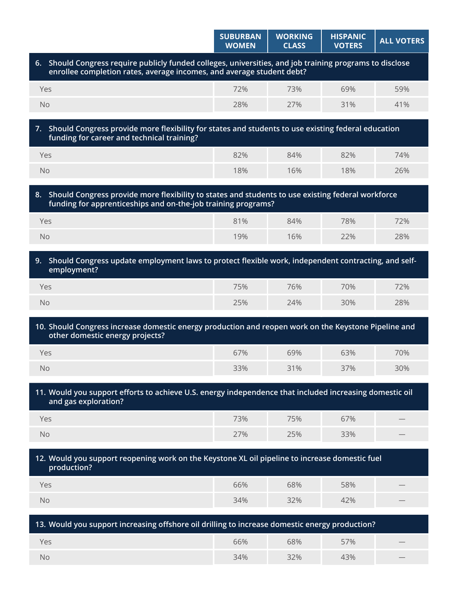|                                                                                                                                                                                   | <b>SUBURBAN</b><br><b>WOMEN</b> | <b>WORKING</b><br><b>CLASS</b> | <b>HISPANIC</b><br><b>VOTERS</b> | <b>ALL VOTERS</b> |  |  |  |  |
|-----------------------------------------------------------------------------------------------------------------------------------------------------------------------------------|---------------------------------|--------------------------------|----------------------------------|-------------------|--|--|--|--|
| 6. Should Congress require publicly funded colleges, universities, and job training programs to disclose<br>enrollee completion rates, average incomes, and average student debt? |                                 |                                |                                  |                   |  |  |  |  |
| Yes                                                                                                                                                                               | 72%                             | 73%                            | 69%                              | 59%               |  |  |  |  |
| No                                                                                                                                                                                | 28%                             | 27%                            | 31%                              | 41%               |  |  |  |  |
| Should Congress provide more flexibility for states and students to use existing federal education<br>7.<br>funding for career and technical training?                            |                                 |                                |                                  |                   |  |  |  |  |
| Yes                                                                                                                                                                               | 82%                             | 84%                            | 82%                              | 74%               |  |  |  |  |
| <b>No</b>                                                                                                                                                                         | 18%                             | 16%                            | 18%                              | 26%               |  |  |  |  |
| Should Congress provide more flexibility to states and students to use existing federal workforce<br>8.<br>funding for apprenticeships and on-the-job training programs?          |                                 |                                |                                  |                   |  |  |  |  |
| Yes                                                                                                                                                                               | 81%                             | 84%                            | 78%                              | 72%               |  |  |  |  |
| No                                                                                                                                                                                | 19%                             | 16%                            | 22%                              | 28%               |  |  |  |  |
| Should Congress update employment laws to protect flexible work, independent contracting, and self-<br>9.<br>employment?                                                          |                                 |                                |                                  |                   |  |  |  |  |
| Yes                                                                                                                                                                               | 75%                             | 76%                            | 70%                              | 72%               |  |  |  |  |
| <b>No</b>                                                                                                                                                                         | 25%                             | 24%                            | 30%                              | 28%               |  |  |  |  |
| 10. Should Congress increase domestic energy production and reopen work on the Keystone Pipeline and<br>other domestic energy projects?                                           |                                 |                                |                                  |                   |  |  |  |  |
| Yes                                                                                                                                                                               | 67%                             | 69%                            | 63%                              | 70%               |  |  |  |  |
| No                                                                                                                                                                                | 33%                             | 31%                            | 37%                              | 30%               |  |  |  |  |
| 11. Would you support efforts to achieve U.S. energy independence that included increasing domestic oil<br>and gas exploration?                                                   |                                 |                                |                                  |                   |  |  |  |  |
| Yes                                                                                                                                                                               | 73%                             | 75%                            | 67%                              |                   |  |  |  |  |
| No                                                                                                                                                                                | 27%                             | 25%                            | 33%                              |                   |  |  |  |  |
| 12. Would you support reopening work on the Keystone XL oil pipeline to increase domestic fuel<br>production?                                                                     |                                 |                                |                                  |                   |  |  |  |  |
| Yes                                                                                                                                                                               | 66%                             | 68%                            | 58%                              |                   |  |  |  |  |
| No                                                                                                                                                                                | 34%                             | 32%                            | 42%                              |                   |  |  |  |  |
| 13. Would you support increasing offshore oil drilling to increase domestic energy production?                                                                                    |                                 |                                |                                  |                   |  |  |  |  |
| Yes                                                                                                                                                                               | 66%                             | 68%                            | 57%                              |                   |  |  |  |  |
| No                                                                                                                                                                                | 34%                             | 32%                            | 43%                              |                   |  |  |  |  |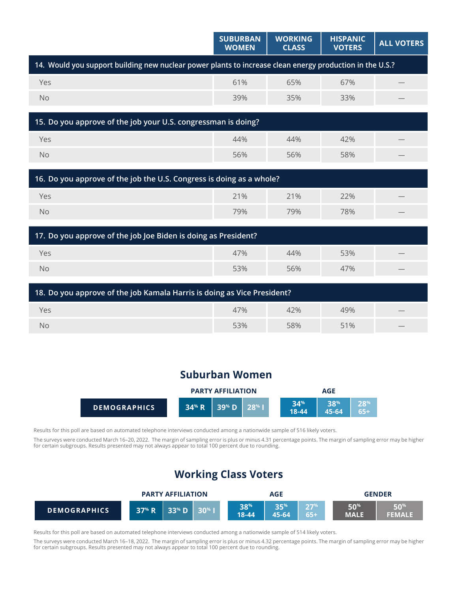|                                                                                                          | <b>SUBURBAN</b><br><b>WOMEN</b> | <b>WORKING</b><br><b>CLASS</b> | <b>HISPANIC</b><br><b>VOTERS</b> | <b>ALL VOTERS</b> |  |  |  |  |
|----------------------------------------------------------------------------------------------------------|---------------------------------|--------------------------------|----------------------------------|-------------------|--|--|--|--|
| 14. Would you support building new nuclear power plants to increase clean energy production in the U.S.? |                                 |                                |                                  |                   |  |  |  |  |
| Yes                                                                                                      | 61%                             | 65%                            | 67%                              |                   |  |  |  |  |
| <b>No</b>                                                                                                | 39%                             | 35%                            | 33%                              |                   |  |  |  |  |
|                                                                                                          |                                 |                                |                                  |                   |  |  |  |  |
| 15. Do you approve of the job your U.S. congressman is doing?                                            |                                 |                                |                                  |                   |  |  |  |  |
| Yes                                                                                                      | 44%                             | 44%                            | 42%                              |                   |  |  |  |  |
| <b>No</b>                                                                                                | 56%                             | 56%                            | 58%                              |                   |  |  |  |  |
|                                                                                                          |                                 |                                |                                  |                   |  |  |  |  |
| 16. Do you approve of the job the U.S. Congress is doing as a whole?                                     |                                 |                                |                                  |                   |  |  |  |  |
| Yes                                                                                                      | 21%                             | 21%                            | 22%                              |                   |  |  |  |  |
| <b>No</b>                                                                                                | 79%                             | 79%                            | 78%                              |                   |  |  |  |  |
|                                                                                                          |                                 |                                |                                  |                   |  |  |  |  |
| 17. Do you approve of the job Joe Biden is doing as President?                                           |                                 |                                |                                  |                   |  |  |  |  |

| Yes | 47% | 44% | 53% | $\hspace{0.1mm}-\hspace{0.1mm}$ |  |  |  |
|-----|-----|-----|-----|---------------------------------|--|--|--|
| No  | 53% | 56% | 47% | $\hspace{0.1mm}-\hspace{0.1mm}$ |  |  |  |

| $\frac{1}{2}$ 18. Do you approve of the job Kamala Harris is doing as Vice President? |     |     |     |                 |  |  |
|---------------------------------------------------------------------------------------|-----|-----|-----|-----------------|--|--|
| 47%<br>42%<br>49%<br>Yes<br>$\qquad \qquad$                                           |     |     |     |                 |  |  |
| No                                                                                    | 53% | 58% | 51% | $\qquad \qquad$ |  |  |

## **Suburban Women**

|                     | <b>PARTY AFFILIATION</b>                                               |  |  | AGE            |              |            |
|---------------------|------------------------------------------------------------------------|--|--|----------------|--------------|------------|
| <b>DEMOGRAPHICS</b> | 34 <sup>%</sup> R   39 <sup>%</sup> D   28 <sup>%</sup> I <sup> </sup> |  |  | 24%<br>$18-44$ | 20%<br>45-64 | 28%<br>65+ |

Results for this poll are based on automated telephone interviews conducted among a nationwide sample of 516 likely voters.

The surveys were conducted March 16–20, 2022. The margin of sampling error is plus or minus 4.31 percentage points. The margin of sampling error may be higher for certain subgroups. Results presented may not always appear to total 100 percent due to rounding.

## **Working Class Voters**

|                     |       | <b>PARTY AFFILIATION</b> |              | AGE              |                     |                 | <b>GENDER</b> |                                               |
|---------------------|-------|--------------------------|--------------|------------------|---------------------|-----------------|---------------|-----------------------------------------------|
| <b>DEMOGRAPHICS</b> | 37% R | $33^{\circ}$ D           | $30^{\circ}$ | 38%<br>$18 - 44$ | <b>2E%</b><br>45-64 | 77%<br>$65 + 1$ | 50%<br>MALI   | $\mathbb{R} \cap \mathbb{Z}$<br><b>FEMALE</b> |

Results for this poll are based on automated telephone interviews conducted among a nationwide sample of 514 likely voters.

The surveys were conducted March 16–18, 2022. The margin of sampling error is plus or minus 4.32 percentage points. The margin of sampling error may be higher for certain subgroups. Results presented may not always appear to total 100 percent due to rounding.